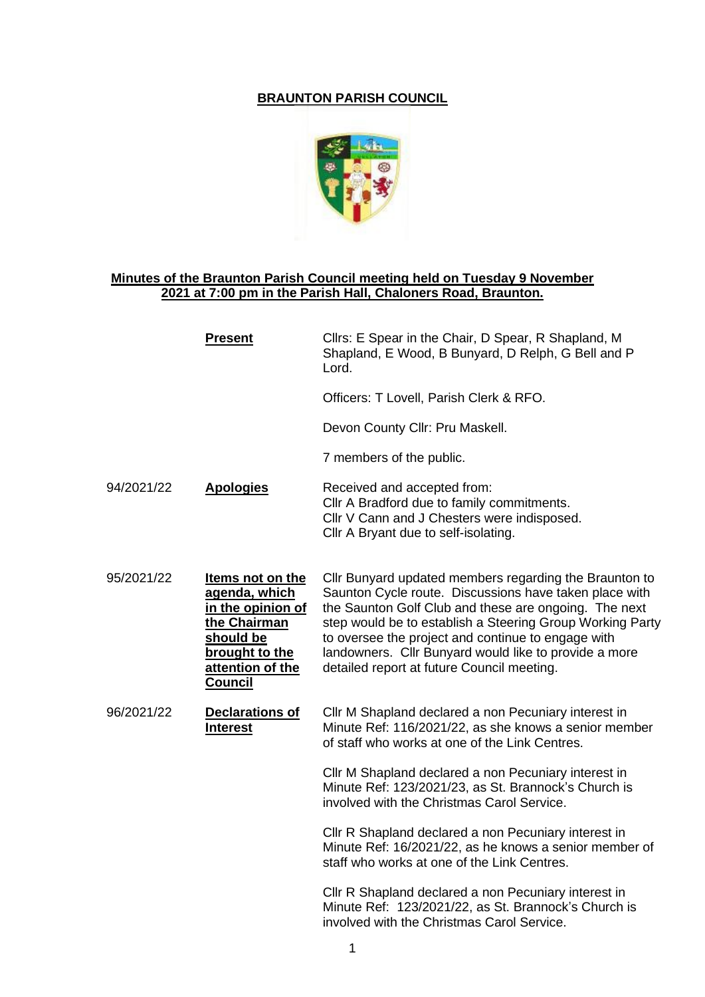# **BRAUNTON PARISH COUNCIL**



# **Minutes of the Braunton Parish Council meeting held on Tuesday 9 November 2021 at 7:00 pm in the Parish Hall, Chaloners Road, Braunton.**

|            | <b>Present</b>                                                                                                                              | Cllrs: E Spear in the Chair, D Spear, R Shapland, M<br>Shapland, E Wood, B Bunyard, D Relph, G Bell and P<br>Lord.                                                                                                                                                                                                                                                                                  |
|------------|---------------------------------------------------------------------------------------------------------------------------------------------|-----------------------------------------------------------------------------------------------------------------------------------------------------------------------------------------------------------------------------------------------------------------------------------------------------------------------------------------------------------------------------------------------------|
|            |                                                                                                                                             | Officers: T Lovell, Parish Clerk & RFO.                                                                                                                                                                                                                                                                                                                                                             |
|            |                                                                                                                                             | Devon County Cllr: Pru Maskell.                                                                                                                                                                                                                                                                                                                                                                     |
|            |                                                                                                                                             | 7 members of the public.                                                                                                                                                                                                                                                                                                                                                                            |
| 94/2021/22 | <b>Apologies</b>                                                                                                                            | Received and accepted from:<br>Cllr A Bradford due to family commitments.<br>Cllr V Cann and J Chesters were indisposed.<br>Cllr A Bryant due to self-isolating.                                                                                                                                                                                                                                    |
| 95/2021/22 | Items not on the<br>agenda, which<br>in the opinion of<br>the Chairman<br>should be<br>brought to the<br>attention of the<br><b>Council</b> | Cllr Bunyard updated members regarding the Braunton to<br>Saunton Cycle route. Discussions have taken place with<br>the Saunton Golf Club and these are ongoing. The next<br>step would be to establish a Steering Group Working Party<br>to oversee the project and continue to engage with<br>landowners. Cllr Bunyard would like to provide a more<br>detailed report at future Council meeting. |
| 96/2021/22 | <b>Declarations of</b><br><b>Interest</b>                                                                                                   | Cllr M Shapland declared a non Pecuniary interest in<br>Minute Ref: 116/2021/22, as she knows a senior member<br>of staff who works at one of the Link Centres.                                                                                                                                                                                                                                     |
|            |                                                                                                                                             | Cllr M Shapland declared a non Pecuniary interest in<br>Minute Ref: 123/2021/23, as St. Brannock's Church is<br>involved with the Christmas Carol Service.                                                                                                                                                                                                                                          |
|            |                                                                                                                                             | Cllr R Shapland declared a non Pecuniary interest in<br>Minute Ref: 16/2021/22, as he knows a senior member of<br>staff who works at one of the Link Centres.                                                                                                                                                                                                                                       |
|            |                                                                                                                                             | Cllr R Shapland declared a non Pecuniary interest in<br>Minute Ref: 123/2021/22, as St. Brannock's Church is<br>involved with the Christmas Carol Service.                                                                                                                                                                                                                                          |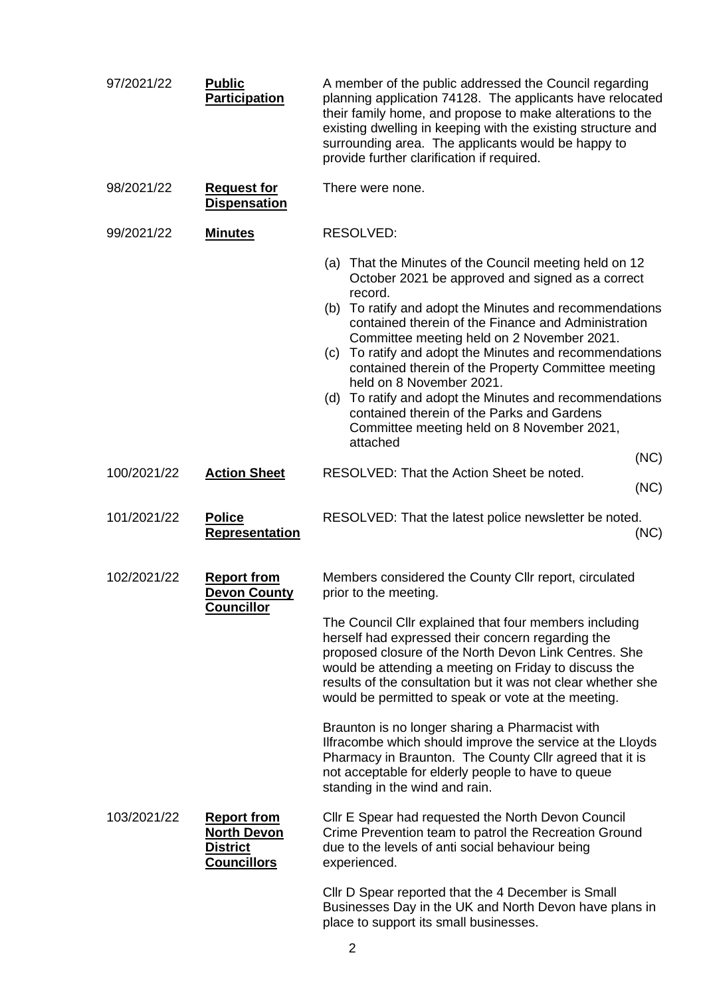| 97/2021/22  | <b>Public</b><br><b>Participation</b>                                             | A member of the public addressed the Council regarding<br>planning application 74128. The applicants have relocated<br>their family home, and propose to make alterations to the<br>existing dwelling in keeping with the existing structure and<br>surrounding area. The applicants would be happy to<br>provide further clarification if required.                                                                                                                                                                                                                                                                                                                                                      |
|-------------|-----------------------------------------------------------------------------------|-----------------------------------------------------------------------------------------------------------------------------------------------------------------------------------------------------------------------------------------------------------------------------------------------------------------------------------------------------------------------------------------------------------------------------------------------------------------------------------------------------------------------------------------------------------------------------------------------------------------------------------------------------------------------------------------------------------|
| 98/2021/22  | <b>Request for</b><br><b>Dispensation</b>                                         | There were none.                                                                                                                                                                                                                                                                                                                                                                                                                                                                                                                                                                                                                                                                                          |
| 99/2021/22  | <b>Minutes</b>                                                                    | RESOLVED:                                                                                                                                                                                                                                                                                                                                                                                                                                                                                                                                                                                                                                                                                                 |
|             |                                                                                   | (a) That the Minutes of the Council meeting held on 12<br>October 2021 be approved and signed as a correct<br>record.<br>(b) To ratify and adopt the Minutes and recommendations<br>contained therein of the Finance and Administration<br>Committee meeting held on 2 November 2021.<br>To ratify and adopt the Minutes and recommendations<br>(c)<br>contained therein of the Property Committee meeting<br>held on 8 November 2021.<br>(d) To ratify and adopt the Minutes and recommendations<br>contained therein of the Parks and Gardens<br>Committee meeting held on 8 November 2021,<br>attached                                                                                                 |
| 100/2021/22 | <b>Action Sheet</b>                                                               | (NC)<br>RESOLVED: That the Action Sheet be noted.                                                                                                                                                                                                                                                                                                                                                                                                                                                                                                                                                                                                                                                         |
| 101/2021/22 | <b>Police</b><br><b>Representation</b>                                            | (NC)<br>RESOLVED: That the latest police newsletter be noted.<br>(NC)                                                                                                                                                                                                                                                                                                                                                                                                                                                                                                                                                                                                                                     |
| 102/2021/22 | <b>Report from</b><br><b>Devon County</b><br><u>Councillor</u>                    | Members considered the County Cllr report, circulated<br>prior to the meeting.<br>The Council Cllr explained that four members including<br>herself had expressed their concern regarding the<br>proposed closure of the North Devon Link Centres. She<br>would be attending a meeting on Friday to discuss the<br>results of the consultation but it was not clear whether she<br>would be permitted to speak or vote at the meeting.<br>Braunton is no longer sharing a Pharmacist with<br>Ilfracombe which should improve the service at the Lloyds<br>Pharmacy in Braunton. The County Cllr agreed that it is<br>not acceptable for elderly people to have to queue<br>standing in the wind and rain. |
| 103/2021/22 | <b>Report from</b><br><b>North Devon</b><br><b>District</b><br><b>Councillors</b> | Cllr E Spear had requested the North Devon Council<br>Crime Prevention team to patrol the Recreation Ground<br>due to the levels of anti social behaviour being<br>experienced.<br>Cllr D Spear reported that the 4 December is Small<br>Businesses Day in the UK and North Devon have plans in<br>place to support its small businesses.                                                                                                                                                                                                                                                                                                                                                                 |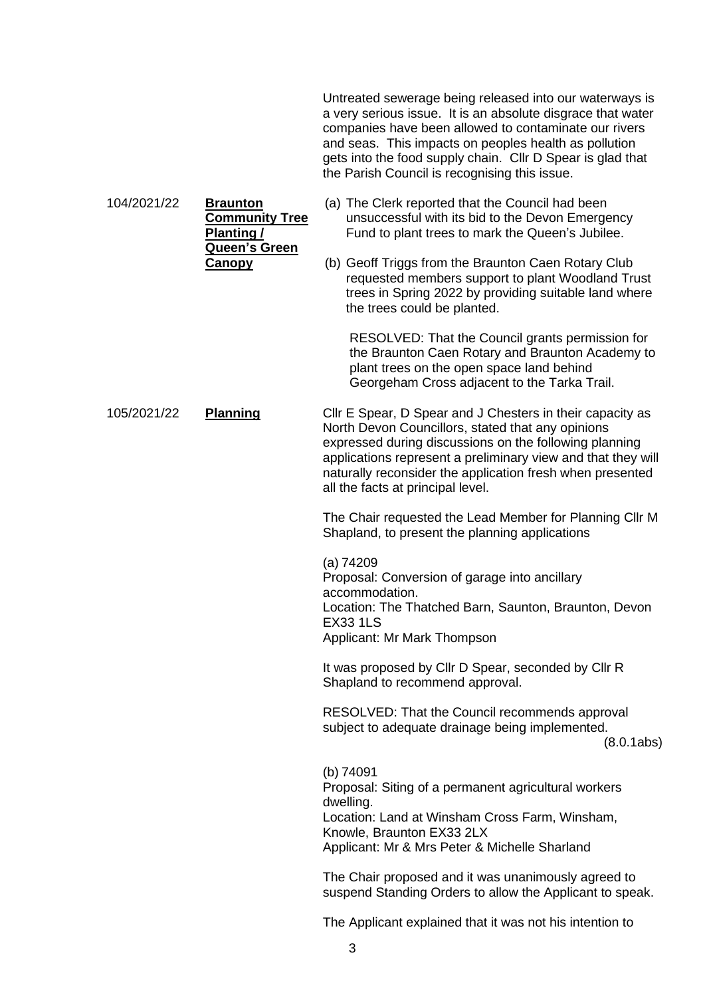Untreated sewerage being released into our waterways is a very serious issue. It is an absolute disgrace that water companies have been allowed to contaminate our rivers and seas. This impacts on peoples health as pollution gets into the food supply chain. Cllr D Spear is glad that the Parish Council is recognising this issue.

104/2021/22 **Braunton Community Tree Planting / Queen's Green**  (a) The Clerk reported that the Council had been unsuccessful with its bid to the Devon Emergency Fund to plant trees to mark the Queen's Jubilee.

**Canopy**

(b) Geoff Triggs from the Braunton Caen Rotary Club requested members support to plant Woodland Trust trees in Spring 2022 by providing suitable land where the trees could be planted.

RESOLVED: That the Council grants permission for the Braunton Caen Rotary and Braunton Academy to plant trees on the open space land behind Georgeham Cross adjacent to the Tarka Trail.

105/2021/22 **Planning** Cllr E Spear, D Spear and J Chesters in their capacity as North Devon Councillors, stated that any opinions expressed during discussions on the following planning applications represent a preliminary view and that they will naturally reconsider the application fresh when presented all the facts at principal level.

> The Chair requested the Lead Member for Planning Cllr M Shapland, to present the planning applications

(a) 74209 Proposal: Conversion of garage into ancillary accommodation. Location: The Thatched Barn, Saunton, Braunton, Devon EX33 1LS Applicant: Mr Mark Thompson

It was proposed by Cllr D Spear, seconded by Cllr R Shapland to recommend approval.

RESOLVED: That the Council recommends approval subject to adequate drainage being implemented.

(8.0.1abs)

(b) 74091 Proposal: Siting of a permanent agricultural workers dwelling. Location: Land at Winsham Cross Farm, Winsham, Knowle, Braunton EX33 2LX Applicant: Mr & Mrs Peter & Michelle Sharland

The Chair proposed and it was unanimously agreed to suspend Standing Orders to allow the Applicant to speak.

The Applicant explained that it was not his intention to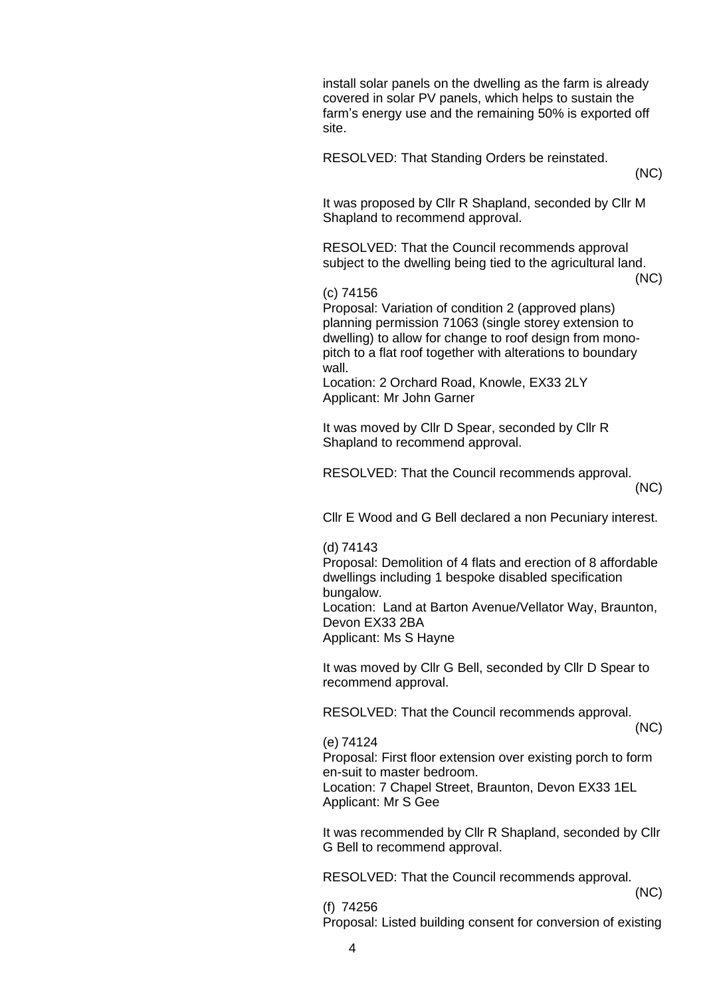install solar panels on the dwelling as the farm is already covered in solar PV panels, which helps to sustain the farm's energy use and the remaining 50% is exported off site.

RESOLVED: That Standing Orders be reinstated.

(NC)

It was proposed by Cllr R Shapland, seconded by Cllr M Shapland to recommend approval.

RESOLVED: That the Council recommends approval subject to the dwelling being tied to the agricultural land.

(NC)

## (c) 74156

Proposal: Variation of condition 2 (approved plans) planning permission 71063 (single storey extension to dwelling) to allow for change to roof design from monopitch to a flat roof together with alterations to boundary wall.

Location: 2 Orchard Road, Knowle, EX33 2LY Applicant: Mr John Garner

It was moved by Cllr D Spear, seconded by Cllr R Shapland to recommend approval.

RESOLVED: That the Council recommends approval.

(NC)

Cllr E Wood and G Bell declared a non Pecuniary interest.

### (d) 74143

Proposal: Demolition of 4 flats and erection of 8 affordable dwellings including 1 bespoke disabled specification bungalow.

Location: Land at Barton Avenue/Vellator Way, Braunton, Devon EX33 2BA

Applicant: Ms S Hayne

It was moved by Cllr G Bell, seconded by Cllr D Spear to recommend approval.

RESOLVED: That the Council recommends approval.

(NC)

### (e) 74124

Proposal: First floor extension over existing porch to form en-suit to master bedroom.

Location: 7 Chapel Street, Braunton, Devon EX33 1EL Applicant: Mr S Gee

It was recommended by Cllr R Shapland, seconded by Cllr G Bell to recommend approval.

RESOLVED: That the Council recommends approval.

(NC)

(f) 74256

Proposal: Listed building consent for conversion of existing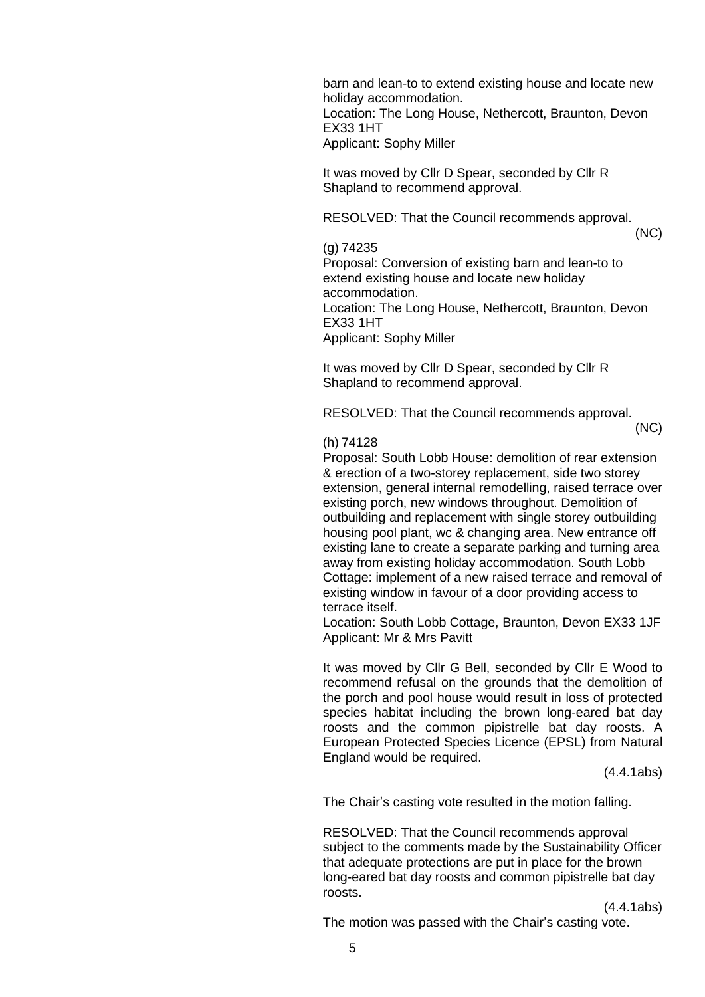barn and lean-to to extend existing house and locate new holiday accommodation. Location: The Long House, Nethercott, Braunton, Devon EX33 1HT Applicant: Sophy Miller

It was moved by Cllr D Spear, seconded by Cllr R Shapland to recommend approval.

RESOLVED: That the Council recommends approval.

#### (g) 74235

Proposal: Conversion of existing barn and lean-to to extend existing house and locate new holiday accommodation.

Location: The Long House, Nethercott, Braunton, Devon EX33 1HT

Applicant: Sophy Miller

It was moved by Cllr D Spear, seconded by Cllr R Shapland to recommend approval.

RESOLVED: That the Council recommends approval.

(NC)

(NC)

### (h) 74128

Proposal: South Lobb House: demolition of rear extension & erection of a two-storey replacement, side two storey extension, general internal remodelling, raised terrace over existing porch, new windows throughout. Demolition of outbuilding and replacement with single storey outbuilding housing pool plant, wc & changing area. New entrance off existing lane to create a separate parking and turning area away from existing holiday accommodation. South Lobb Cottage: implement of a new raised terrace and removal of existing window in favour of a door providing access to terrace itself.

Location: South Lobb Cottage, Braunton, Devon EX33 1JF Applicant: Mr & Mrs Pavitt

It was moved by Cllr G Bell, seconded by Cllr E Wood to recommend refusal on the grounds that the demolition of the porch and pool house would result in loss of protected species habitat including the brown long-eared bat day roosts and the common pipistrelle bat day roosts. A European Protected Species Licence (EPSL) from Natural England would be required.

(4.4.1abs)

The Chair's casting vote resulted in the motion falling.

RESOLVED: That the Council recommends approval subject to the comments made by the Sustainability Officer that adequate protections are put in place for the brown long-eared bat day roosts and common pipistrelle bat day roosts.

(4.4.1abs)

The motion was passed with the Chair's casting vote.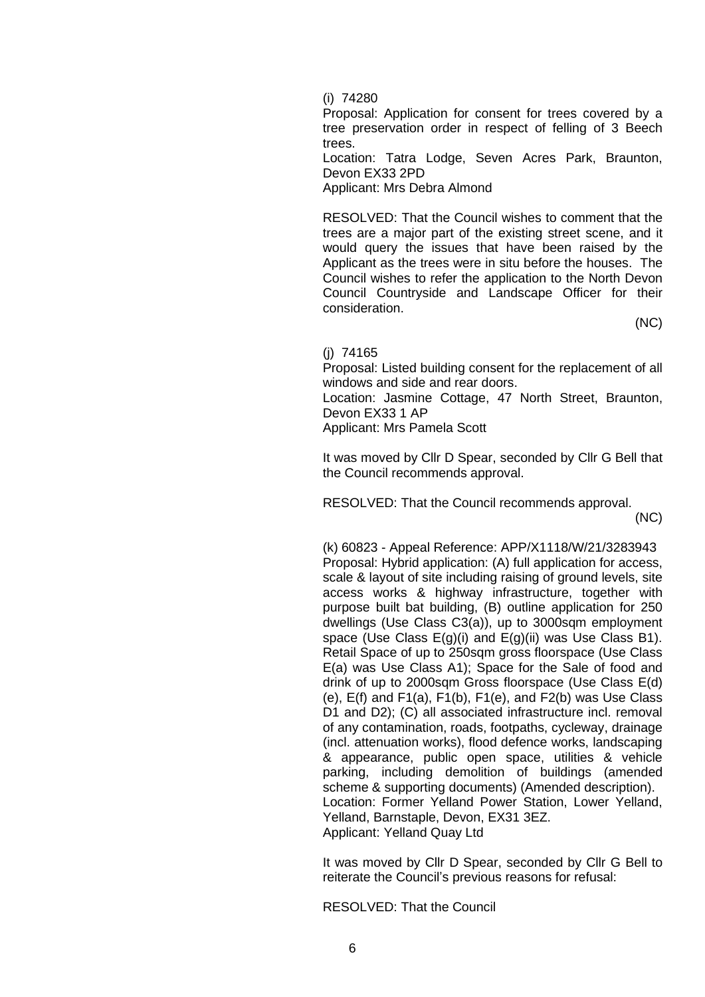(i) 74280

Proposal: Application for consent for trees covered by a tree preservation order in respect of felling of 3 Beech trees.

Location: Tatra Lodge, Seven Acres Park, Braunton, Devon EX33 2PD

Applicant: Mrs Debra Almond

RESOLVED: That the Council wishes to comment that the trees are a major part of the existing street scene, and it would query the issues that have been raised by the Applicant as the trees were in situ before the houses. The Council wishes to refer the application to the North Devon Council Countryside and Landscape Officer for their consideration.

(NC)

(j) 74165

Proposal: Listed building consent for the replacement of all windows and side and rear doors.

Location: Jasmine Cottage, 47 North Street, Braunton, Devon EX33 1 AP

Applicant: Mrs Pamela Scott

It was moved by Cllr D Spear, seconded by Cllr G Bell that the Council recommends approval.

RESOLVED: That the Council recommends approval.

(NC)

(k) 60823 - Appeal Reference: APP/X1118/W/21/3283943 Proposal: Hybrid application: (A) full application for access, scale & layout of site including raising of ground levels, site access works & highway infrastructure, together with purpose built bat building, (B) outline application for 250 dwellings (Use Class C3(a)), up to 3000sqm employment space (Use Class  $E(g)(i)$  and  $E(g)(ii)$  was Use Class B1). Retail Space of up to 250sqm gross floorspace (Use Class E(a) was Use Class A1); Space for the Sale of food and drink of up to 2000sqm Gross floorspace (Use Class E(d) (e),  $E(f)$  and  $F1(a)$ ,  $F1(b)$ ,  $F1(e)$ , and  $F2(b)$  was Use Class D1 and D2); (C) all associated infrastructure incl. removal of any contamination, roads, footpaths, cycleway, drainage (incl. attenuation works), flood defence works, landscaping & appearance, public open space, utilities & vehicle parking, including demolition of buildings (amended scheme & supporting documents) (Amended description). Location: Former Yelland Power Station, Lower Yelland, Yelland, Barnstaple, Devon, EX31 3EZ. Applicant: Yelland Quay Ltd

It was moved by Cllr D Spear, seconded by Cllr G Bell to reiterate the Council's previous reasons for refusal:

RESOLVED: That the Council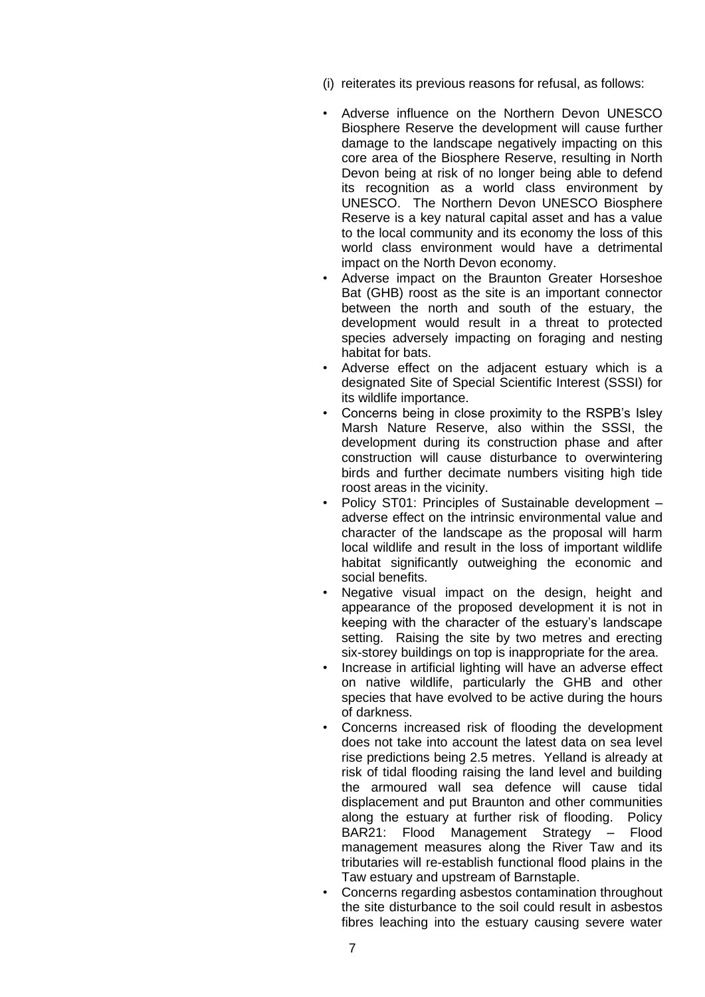- (i) reiterates its previous reasons for refusal, as follows:
- Adverse influence on the Northern Devon UNESCO Biosphere Reserve the development will cause further damage to the landscape negatively impacting on this core area of the Biosphere Reserve, resulting in North Devon being at risk of no longer being able to defend its recognition as a world class environment by UNESCO. The Northern Devon UNESCO Biosphere Reserve is a key natural capital asset and has a value to the local community and its economy the loss of this world class environment would have a detrimental impact on the North Devon economy.
- Adverse impact on the Braunton Greater Horseshoe Bat (GHB) roost as the site is an important connector between the north and south of the estuary, the development would result in a threat to protected species adversely impacting on foraging and nesting habitat for bats.
- Adverse effect on the adjacent estuary which is a designated Site of Special Scientific Interest (SSSI) for its wildlife importance.
- Concerns being in close proximity to the RSPB's Isley Marsh Nature Reserve, also within the SSSI, the development during its construction phase and after construction will cause disturbance to overwintering birds and further decimate numbers visiting high tide roost areas in the vicinity.
- Policy ST01: Principles of Sustainable development adverse effect on the intrinsic environmental value and character of the landscape as the proposal will harm local wildlife and result in the loss of important wildlife habitat significantly outweighing the economic and social benefits.
- Negative visual impact on the design, height and appearance of the proposed development it is not in keeping with the character of the estuary's landscape setting. Raising the site by two metres and erecting six-storey buildings on top is inappropriate for the area.
- Increase in artificial lighting will have an adverse effect on native wildlife, particularly the GHB and other species that have evolved to be active during the hours of darkness.
- Concerns increased risk of flooding the development does not take into account the latest data on sea level rise predictions being 2.5 metres. Yelland is already at risk of tidal flooding raising the land level and building the armoured wall sea defence will cause tidal displacement and put Braunton and other communities along the estuary at further risk of flooding. Policy BAR21: Flood Management Strategy – Flood management measures along the River Taw and its tributaries will re-establish functional flood plains in the Taw estuary and upstream of Barnstaple.
- Concerns regarding asbestos contamination throughout the site disturbance to the soil could result in asbestos fibres leaching into the estuary causing severe water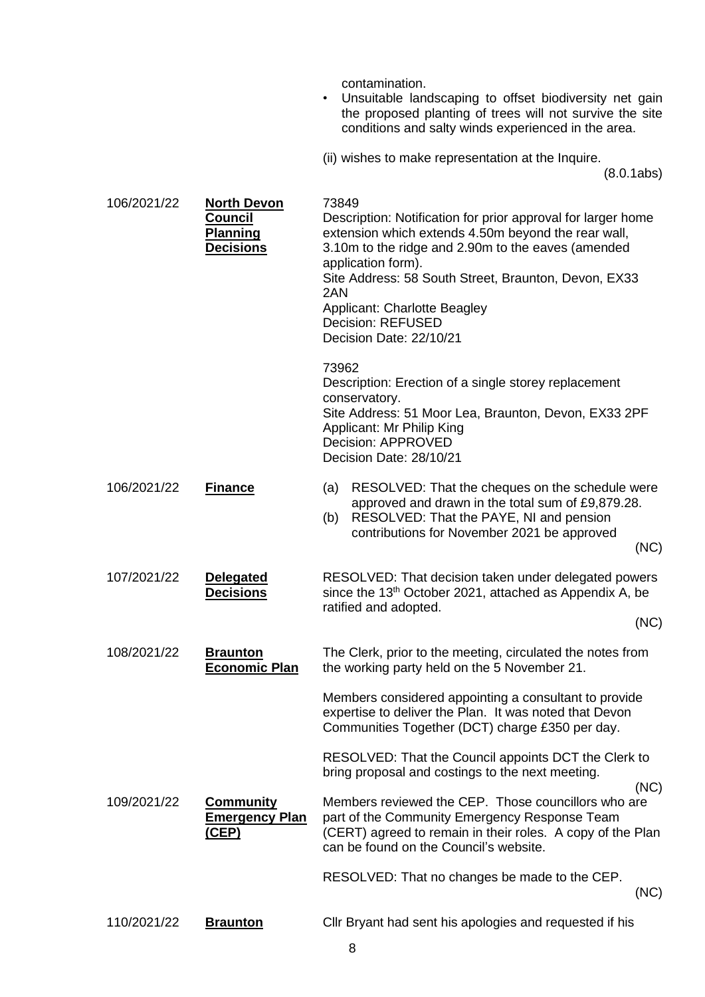contamination.

- Unsuitable landscaping to offset biodiversity net gain the proposed planting of trees will not survive the site conditions and salty winds experienced in the area.
- (ii) wishes to make representation at the Inquire.

(8.0.1abs)

| 106/2021/22 | <b>North Devon</b><br>Council<br><b>Planning</b><br><b>Decisions</b> | 73849<br>Description: Notification for prior approval for larger home<br>extension which extends 4.50m beyond the rear wall,<br>3.10m to the ridge and 2.90m to the eaves (amended<br>application form).<br>Site Address: 58 South Street, Braunton, Devon, EX33<br>2AN<br><b>Applicant: Charlotte Beagley</b><br><b>Decision: REFUSED</b><br>Decision Date: 22/10/21 |
|-------------|----------------------------------------------------------------------|-----------------------------------------------------------------------------------------------------------------------------------------------------------------------------------------------------------------------------------------------------------------------------------------------------------------------------------------------------------------------|
|             |                                                                      | 73962<br>Description: Erection of a single storey replacement<br>conservatory.<br>Site Address: 51 Moor Lea, Braunton, Devon, EX33 2PF<br>Applicant: Mr Philip King<br>Decision: APPROVED<br>Decision Date: 28/10/21                                                                                                                                                  |
| 106/2021/22 | <b>Finance</b>                                                       | RESOLVED: That the cheques on the schedule were<br>(a)<br>approved and drawn in the total sum of £9,879.28.<br>RESOLVED: That the PAYE, NI and pension<br>(b)<br>contributions for November 2021 be approved<br>(NC)                                                                                                                                                  |
| 107/2021/22 | <b>Delegated</b><br><b>Decisions</b>                                 | RESOLVED: That decision taken under delegated powers<br>since the 13 <sup>th</sup> October 2021, attached as Appendix A, be<br>ratified and adopted.<br>(NC)                                                                                                                                                                                                          |
| 108/2021/22 | <b>Braunton</b><br><b>Economic Plan</b>                              | The Clerk, prior to the meeting, circulated the notes from<br>the working party held on the 5 November 21.                                                                                                                                                                                                                                                            |
|             |                                                                      | Members considered appointing a consultant to provide<br>expertise to deliver the Plan. It was noted that Devon<br>Communities Together (DCT) charge £350 per day.                                                                                                                                                                                                    |
|             |                                                                      | RESOLVED: That the Council appoints DCT the Clerk to<br>bring proposal and costings to the next meeting.<br>(NC)                                                                                                                                                                                                                                                      |
| 109/2021/22 | <b>Community</b><br><b>Emergency Plan</b><br><u>(CEP)</u>            | Members reviewed the CEP. Those councillors who are<br>part of the Community Emergency Response Team<br>(CERT) agreed to remain in their roles. A copy of the Plan<br>can be found on the Council's website.                                                                                                                                                          |
|             |                                                                      | RESOLVED: That no changes be made to the CEP.<br>(NC)                                                                                                                                                                                                                                                                                                                 |
| 110/2021/22 | <b>Braunton</b>                                                      | Cllr Bryant had sent his apologies and requested if his                                                                                                                                                                                                                                                                                                               |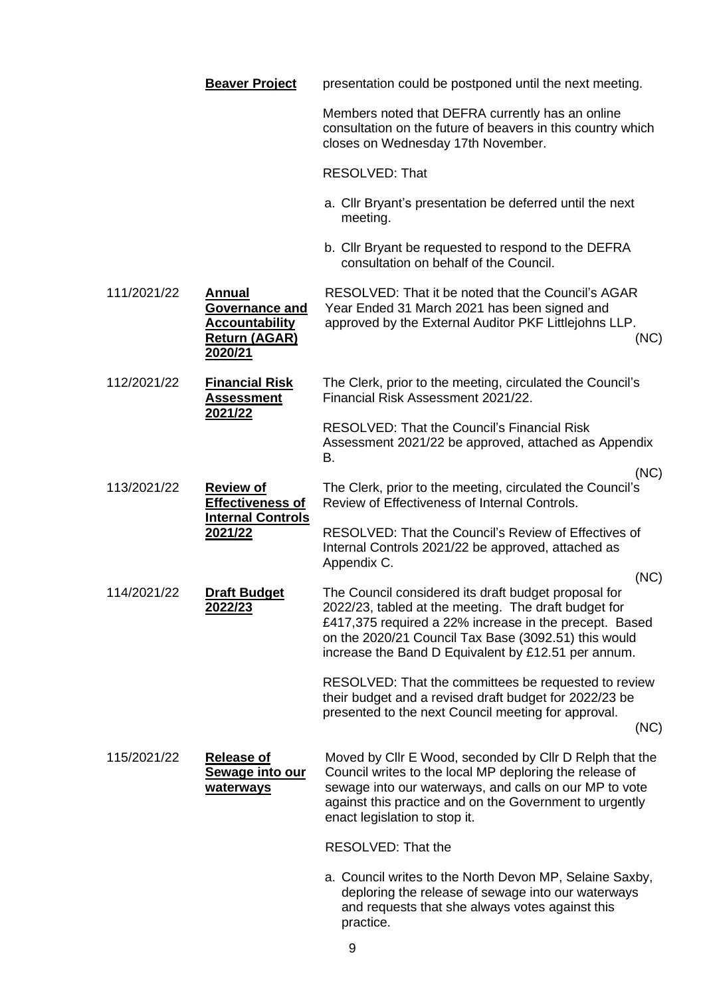|             | <b>Beaver Project</b>                                                                              | presentation could be postponed until the next meeting.                                                                                                                                                                                                                                       |
|-------------|----------------------------------------------------------------------------------------------------|-----------------------------------------------------------------------------------------------------------------------------------------------------------------------------------------------------------------------------------------------------------------------------------------------|
|             |                                                                                                    | Members noted that DEFRA currently has an online<br>consultation on the future of beavers in this country which<br>closes on Wednesday 17th November.                                                                                                                                         |
|             |                                                                                                    | RESOLVED: That                                                                                                                                                                                                                                                                                |
|             |                                                                                                    | a. Cllr Bryant's presentation be deferred until the next<br>meeting.                                                                                                                                                                                                                          |
|             |                                                                                                    | b. Cllr Bryant be requested to respond to the DEFRA<br>consultation on behalf of the Council.                                                                                                                                                                                                 |
| 111/2021/22 | <b>Annual</b><br><b>Governance and</b><br><b>Accountability</b><br><b>Return (AGAR)</b><br>2020/21 | RESOLVED: That it be noted that the Council's AGAR<br>Year Ended 31 March 2021 has been signed and<br>approved by the External Auditor PKF Littlejohns LLP.<br>(NC)                                                                                                                           |
| 112/2021/22 | <b>Financial Risk</b><br><b>Assessment</b><br>2021/22                                              | The Clerk, prior to the meeting, circulated the Council's<br>Financial Risk Assessment 2021/22.                                                                                                                                                                                               |
|             |                                                                                                    | <b>RESOLVED: That the Council's Financial Risk</b><br>Assessment 2021/22 be approved, attached as Appendix<br>В.                                                                                                                                                                              |
| 113/2021/22 | <b>Review of</b><br>Effectiveness of<br><b>Internal Controls</b><br>2021/22                        | (NC)<br>The Clerk, prior to the meeting, circulated the Council's<br>Review of Effectiveness of Internal Controls.                                                                                                                                                                            |
|             |                                                                                                    | <b>RESOLVED: That the Council's Review of Effectives of</b><br>Internal Controls 2021/22 be approved, attached as<br>Appendix C.                                                                                                                                                              |
| 114/2021/22 | <b>Draft Budget</b><br>2022/23                                                                     | (NC)<br>The Council considered its draft budget proposal for<br>2022/23, tabled at the meeting. The draft budget for<br>£417,375 required a 22% increase in the precept. Based<br>on the 2020/21 Council Tax Base (3092.51) this would<br>increase the Band D Equivalent by £12.51 per annum. |
|             |                                                                                                    | RESOLVED: That the committees be requested to review<br>their budget and a revised draft budget for 2022/23 be<br>presented to the next Council meeting for approval.<br>(NC)                                                                                                                 |
| 115/2021/22 | <b>Release of</b><br>Sewage into our<br>waterways                                                  | Moved by Cllr E Wood, seconded by Cllr D Relph that the<br>Council writes to the local MP deploring the release of<br>sewage into our waterways, and calls on our MP to vote<br>against this practice and on the Government to urgently<br>enact legislation to stop it.                      |
|             |                                                                                                    | RESOLVED: That the                                                                                                                                                                                                                                                                            |
|             |                                                                                                    | a. Council writes to the North Devon MP, Selaine Saxby,<br>deploring the release of sewage into our waterways<br>and requests that she always votes against this<br>practice.                                                                                                                 |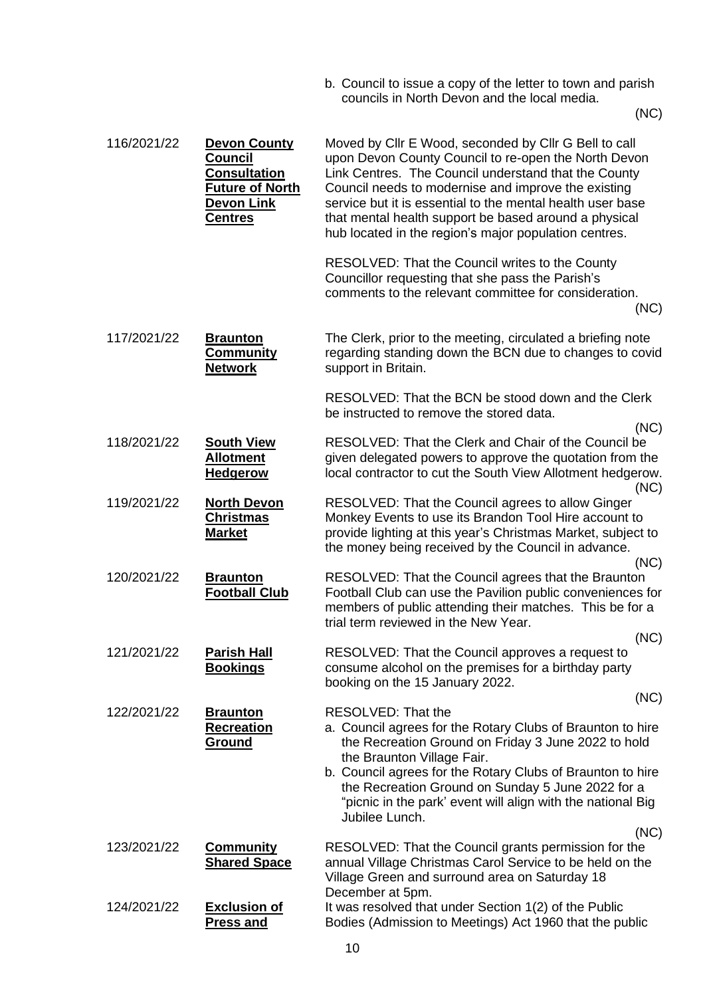b. Council to issue a copy of the letter to town and parish councils in North Devon and the local media.

(NC)

| 116/2021/22 | <b>Devon County</b><br><b>Council</b><br><b>Consultation</b><br><b>Future of North</b><br><b>Devon Link</b><br><b>Centres</b> | Moved by Cllr E Wood, seconded by Cllr G Bell to call<br>upon Devon County Council to re-open the North Devon<br>Link Centres. The Council understand that the County<br>Council needs to modernise and improve the existing<br>service but it is essential to the mental health user base<br>that mental health support be based around a physical<br>hub located in the region's major population centres. |
|-------------|-------------------------------------------------------------------------------------------------------------------------------|--------------------------------------------------------------------------------------------------------------------------------------------------------------------------------------------------------------------------------------------------------------------------------------------------------------------------------------------------------------------------------------------------------------|
|             |                                                                                                                               | RESOLVED: That the Council writes to the County<br>Councillor requesting that she pass the Parish's<br>comments to the relevant committee for consideration.<br>(NC)                                                                                                                                                                                                                                         |
| 117/2021/22 | <b>Braunton</b><br><b>Community</b><br><b>Network</b>                                                                         | The Clerk, prior to the meeting, circulated a briefing note<br>regarding standing down the BCN due to changes to covid<br>support in Britain.                                                                                                                                                                                                                                                                |
|             |                                                                                                                               | RESOLVED: That the BCN be stood down and the Clerk<br>be instructed to remove the stored data.<br>(NC)                                                                                                                                                                                                                                                                                                       |
| 118/2021/22 | <b>South View</b><br><b>Allotment</b><br><b>Hedgerow</b>                                                                      | RESOLVED: That the Clerk and Chair of the Council be<br>given delegated powers to approve the quotation from the<br>local contractor to cut the South View Allotment hedgerow.<br>(NC)                                                                                                                                                                                                                       |
| 119/2021/22 | <b>North Devon</b><br><b>Christmas</b><br><b>Market</b>                                                                       | RESOLVED: That the Council agrees to allow Ginger<br>Monkey Events to use its Brandon Tool Hire account to<br>provide lighting at this year's Christmas Market, subject to<br>the money being received by the Council in advance.<br>(NC)                                                                                                                                                                    |
| 120/2021/22 | <b>Braunton</b><br><b>Football Club</b>                                                                                       | RESOLVED: That the Council agrees that the Braunton<br>Football Club can use the Pavilion public conveniences for<br>members of public attending their matches. This be for a<br>trial term reviewed in the New Year.                                                                                                                                                                                        |
| 121/2021/22 | <b>Parish Hall</b><br><b>Bookings</b>                                                                                         | (NC)<br>RESOLVED: That the Council approves a request to<br>consume alcohol on the premises for a birthday party<br>booking on the 15 January 2022.                                                                                                                                                                                                                                                          |
|             |                                                                                                                               | (NC)                                                                                                                                                                                                                                                                                                                                                                                                         |
| 122/2021/22 | <b>Braunton</b><br><b>Recreation</b><br>Ground                                                                                | <b>RESOLVED: That the</b><br>a. Council agrees for the Rotary Clubs of Braunton to hire<br>the Recreation Ground on Friday 3 June 2022 to hold<br>the Braunton Village Fair.<br>b. Council agrees for the Rotary Clubs of Braunton to hire<br>the Recreation Ground on Sunday 5 June 2022 for a<br>"picnic in the park' event will align with the national Big<br>Jubilee Lunch.                             |
| 123/2021/22 | <b>Community</b><br><b>Shared Space</b>                                                                                       | (NC)<br>RESOLVED: That the Council grants permission for the<br>annual Village Christmas Carol Service to be held on the<br>Village Green and surround area on Saturday 18<br>December at 5pm.                                                                                                                                                                                                               |
| 124/2021/22 | <b>Exclusion of</b><br><b>Press and</b>                                                                                       | It was resolved that under Section 1(2) of the Public<br>Bodies (Admission to Meetings) Act 1960 that the public                                                                                                                                                                                                                                                                                             |